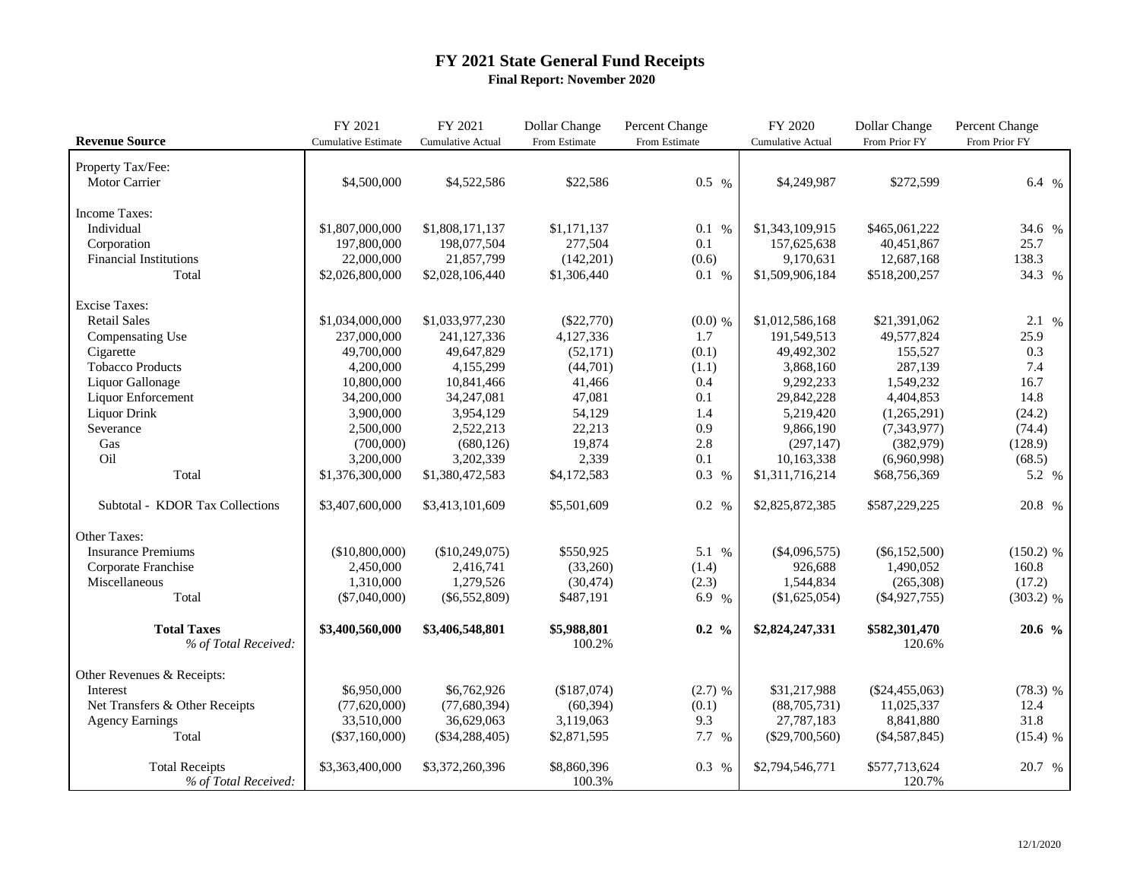## **FY 2021 State General Fund Receipts Final Report: November 2020**

|                                 | FY 2021                    | FY 2021                  | Dollar Change | Percent Change   | FY 2020                  | Dollar Change    | Percent Change |
|---------------------------------|----------------------------|--------------------------|---------------|------------------|--------------------------|------------------|----------------|
| <b>Revenue Source</b>           | <b>Cumulative Estimate</b> | <b>Cumulative Actual</b> | From Estimate | From Estimate    | <b>Cumulative Actual</b> | From Prior FY    | From Prior FY  |
| Property Tax/Fee:               |                            |                          |               |                  |                          |                  |                |
| Motor Carrier                   | \$4,500,000                | \$4,522,586              | \$22,586      | $0.5\%$          | \$4,249,987              | \$272,599        | 6.4 %          |
|                                 |                            |                          |               |                  |                          |                  |                |
| Income Taxes:                   |                            |                          |               |                  |                          |                  |                |
| Individual                      | \$1,807,000,000            | \$1,808,171,137          | \$1,171,137   | 0.1 %            | \$1,343,109,915          | \$465,061,222    | 34.6 %         |
| Corporation                     | 197,800,000                | 198,077,504              | 277,504       | 0.1              | 157,625,638              | 40,451,867       | 25.7           |
| <b>Financial Institutions</b>   | 22,000,000                 | 21,857,799               | (142, 201)    | (0.6)            | 9,170,631                | 12,687,168       | 138.3          |
| Total                           | \$2,026,800,000            | \$2,028,106,440          | \$1,306,440   | 0.1 %            | \$1,509,906,184          | \$518,200,257    | 34.3 %         |
|                                 |                            |                          |               |                  |                          |                  |                |
| <b>Excise Taxes:</b>            |                            |                          |               |                  |                          |                  |                |
| <b>Retail Sales</b>             | \$1,034,000,000            | \$1,033,977,230          | $(\$22,770)$  | $(0.0)$ %        | \$1,012,586,168          | \$21,391,062     | $2.1\%$        |
| Compensating Use                | 237,000,000                | 241,127,336              | 4,127,336     | 1.7              | 191,549,513              | 49,577,824       | 25.9           |
| Cigarette                       | 49,700,000                 | 49,647,829               | (52, 171)     | (0.1)            | 49,492,302               | 155,527          | 0.3            |
| <b>Tobacco Products</b>         | 4,200,000                  | 4,155,299                | (44,701)      | (1.1)            | 3,868,160                | 287,139          | 7.4            |
| Liquor Gallonage                | 10,800,000                 | 10,841,466               | 41,466        | 0.4              | 9,292,233                | 1,549,232        | 16.7           |
| Liquor Enforcement              | 34,200,000                 | 34, 247, 081             | 47,081        | 0.1              | 29,842,228               | 4,404,853        | 14.8           |
| Liquor Drink                    | 3,900,000                  | 3,954,129                | 54,129        | 1.4              | 5,219,420                | (1,265,291)      | (24.2)         |
| Severance                       | 2,500,000                  | 2,522,213                | 22,213        | 0.9              | 9,866,190                | (7, 343, 977)    | (74.4)         |
| Gas                             | (700,000)                  | (680, 126)               | 19,874        | 2.8              | (297, 147)               | (382,979)        | (128.9)        |
| Oil                             | 3,200,000                  | 3,202,339                | 2,339         | 0.1              | 10,163,338               | (6,960,998)      | (68.5)         |
| Total                           | \$1,376,300,000            | \$1,380,472,583          | \$4,172,583   | 0.3 %            | \$1,311,716,214          | \$68,756,369     | 5.2 %          |
|                                 |                            |                          |               |                  |                          |                  |                |
| Subtotal - KDOR Tax Collections | \$3,407,600,000            | \$3,413,101,609          | \$5,501,609   | 0.2 %            | \$2,825,872,385          | \$587,229,225    | 20.8 %         |
|                                 |                            |                          |               |                  |                          |                  |                |
| Other Taxes:                    |                            |                          |               |                  |                          |                  |                |
| <b>Insurance Premiums</b>       | (\$10,800,000)             | (\$10,249,075)           | \$550,925     | 5.1 %            | $(\$4,096,575)$          | $(\$6,152,500)$  | $(150.2)$ %    |
| Corporate Franchise             | 2,450,000                  | 2,416,741                | (33,260)      | (1.4)            | 926,688                  | 1,490,052        | 160.8          |
| Miscellaneous                   | 1,310,000                  | 1,279,526                | (30, 474)     | (2.3)            | 1,544,834                | (265, 308)       | (17.2)         |
| Total                           | $(\$7,040,000)$            | $(\$6,552,809)$          | \$487,191     | 6.9 %            | (\$1,625,054)            | $(\$4,927,755)$  | $(303.2)$ %    |
|                                 |                            |                          |               |                  |                          |                  |                |
| <b>Total Taxes</b>              | \$3,400,560,000            | \$3,406,548,801          | \$5,988,801   | $0.2\frac{9}{6}$ | \$2,824,247,331          | \$582,301,470    | 20.6 %         |
| % of Total Received:            |                            |                          | 100.2%        |                  |                          | 120.6%           |                |
|                                 |                            |                          |               |                  |                          |                  |                |
| Other Revenues & Receipts:      |                            |                          |               |                  |                          |                  |                |
| Interest                        | \$6,950,000                | \$6,762,926              | (\$187,074)   | $(2.7)$ %        | \$31,217,988             | $(\$24,455,063)$ | $(78.3)$ %     |
| Net Transfers & Other Receipts  | (77,620,000)               | (77,680,394)             | (60, 394)     | (0.1)            | (88,705,731)             | 11,025,337       | 12.4           |
| <b>Agency Earnings</b>          | 33,510,000                 | 36,629,063               | 3,119,063     | 9.3              | 27,787,183               | 8,841,880        | 31.8           |
| Total                           | $(\$37,160,000)$           | $(\$34,288,405)$         | \$2,871,595   | 7.7 %            | $(\$29,700,560)$         | $(\$4,587,845)$  | $(15.4)$ %     |
| <b>Total Receipts</b>           | \$3,363,400,000            | \$3,372,260,396          | \$8,860,396   | 0.3 %            | \$2,794,546,771          | \$577,713,624    | 20.7 %         |
| % of Total Received:            |                            |                          | 100.3%        |                  |                          | 120.7%           |                |
|                                 |                            |                          |               |                  |                          |                  |                |